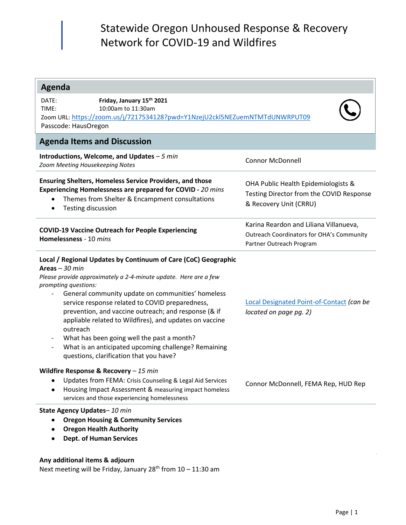# Statewide Oregon Unhoused Response & Recovery Network for COVID-19 and Wildfires

| <b>Agenda</b>                                                                                                                                                                                                                                                                                                                                                                                                                                                                                                                                                                                                                                                                                                                                                                                                                                                                                                                              |                                                                                                                        |  |  |  |  |  |
|--------------------------------------------------------------------------------------------------------------------------------------------------------------------------------------------------------------------------------------------------------------------------------------------------------------------------------------------------------------------------------------------------------------------------------------------------------------------------------------------------------------------------------------------------------------------------------------------------------------------------------------------------------------------------------------------------------------------------------------------------------------------------------------------------------------------------------------------------------------------------------------------------------------------------------------------|------------------------------------------------------------------------------------------------------------------------|--|--|--|--|--|
| Friday, January 15th 2021<br>DATE:<br>10:00am to 11:30am<br>TIME:<br>Zoom URL: https://zoom.us/j/7217534128?pwd=Y1NzejU2ckl5NEZuemNTMTdUNWRPUT09<br>Passcode: HausOregon                                                                                                                                                                                                                                                                                                                                                                                                                                                                                                                                                                                                                                                                                                                                                                   |                                                                                                                        |  |  |  |  |  |
| <b>Agenda Items and Discussion</b>                                                                                                                                                                                                                                                                                                                                                                                                                                                                                                                                                                                                                                                                                                                                                                                                                                                                                                         |                                                                                                                        |  |  |  |  |  |
| Introductions, Welcome, and Updates $-5$ min<br>Zoom Meeting Housekeeping Notes                                                                                                                                                                                                                                                                                                                                                                                                                                                                                                                                                                                                                                                                                                                                                                                                                                                            | <b>Connor McDonnell</b>                                                                                                |  |  |  |  |  |
| <b>Ensuring Shelters, Homeless Service Providers, and those</b><br>Experiencing Homelessness are prepared for COVID - 20 mins<br>Themes from Shelter & Encampment consultations<br><b>Testing discussion</b><br>٠                                                                                                                                                                                                                                                                                                                                                                                                                                                                                                                                                                                                                                                                                                                          | OHA Public Health Epidemiologists &<br>Testing Director from the COVID Response<br>& Recovery Unit (CRRU)              |  |  |  |  |  |
| <b>COVID-19 Vaccine Outreach for People Experiencing</b><br>Homelessness - 10 mins                                                                                                                                                                                                                                                                                                                                                                                                                                                                                                                                                                                                                                                                                                                                                                                                                                                         | Karina Reardon and Liliana Villanueva,<br><b>Outreach Coordinators for OHA's Community</b><br>Partner Outreach Program |  |  |  |  |  |
| Local / Regional Updates by Continuum of Care (CoC) Geographic<br>Areas $-30$ min<br>Please provide approximately a 2-4-minute update. Here are a few<br>prompting questions:<br>General community update on communities' homeless<br>service response related to COVID preparedness,<br>prevention, and vaccine outreach; and response (& if<br>appliable related to Wildfires), and updates on vaccine<br>outreach<br>What has been going well the past a month?<br>What is an anticipated upcoming challenge? Remaining<br>questions, clarification that you have?<br>Wildfire Response & Recovery $-15$ min<br>Updates from FEMA: Crisis Counseling & Legal Aid Services<br>Housing Impact Assessment & measuring impact homeless<br>services and those experiencing homelessness<br>State Agency Updates-10 min<br><b>Oregon Housing &amp; Community Services</b><br><b>Oregon Health Authority</b><br><b>Dept. of Human Services</b> | Local Designated Point-of-Contact (can be<br>located on page pg. 2)<br>Connor McDonnell, FEMA Rep, HUD Rep             |  |  |  |  |  |

### **Any additional items & adjourn**

Next meeting will be Friday, January  $28^{th}$  from  $10 - 11:30$  am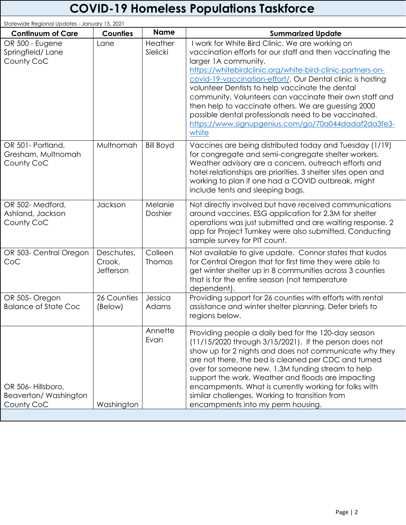# **COVID-19 Homeless Populations Taskforce**

| Statewide Regional Updates - January 15, 2021           |                                   |                     |                                                                                                                                                                                                                                                                                                                                                                                                                                                                                                                                                                |  |  |
|---------------------------------------------------------|-----------------------------------|---------------------|----------------------------------------------------------------------------------------------------------------------------------------------------------------------------------------------------------------------------------------------------------------------------------------------------------------------------------------------------------------------------------------------------------------------------------------------------------------------------------------------------------------------------------------------------------------|--|--|
| <b>Continuum of Care</b>                                | <b>Counties</b>                   | <b>Name</b>         | <b>Summarized Update</b>                                                                                                                                                                                                                                                                                                                                                                                                                                                                                                                                       |  |  |
| OR 500 - Eugene<br>Springfield/Lane<br>County CoC       | Lane                              | Heather<br>Sielicki | I work for White Bird Clinic. We are working on<br>vaccination efforts for our staff and then vaccinating the<br>larger 1A community.<br>https://whitebirdclinic.org/white-bird-clinic-partners-on-<br>covid-19-vaccination-effort/. Our Dental clinic is hosting<br>volunteer Dentists to help vaccinate the dental<br>community. Volunteers can vaccinate their own staff and<br>then help to vaccinate others. We are guessing 2000<br>possible dental professionals need to be vaccinated.<br>https://www.signupgenius.com/go/70a044dadaf2da3fe3-<br>white |  |  |
| OR 501- Portland,<br>Gresham, Multnomah<br>County CoC   | Multnomah                         | <b>Bill Boyd</b>    | Vaccines are being distributed today and Tuesday (1/19)<br>for congregate and semi-congregate shelter workers.<br>Weather advisory are a concern, outreach efforts and<br>hotel relationships are priorities. 3 shelter sites open and<br>working to plan if one had a COVID outbreak, might<br>include tents and sleeping bags.                                                                                                                                                                                                                               |  |  |
| OR 502-Medford,<br>Ashland, Jackson<br>County CoC       | Jackson                           | Melanie<br>Doshier  | Not directly involved but have received communications<br>around vaccines. ESG application for 2.3M for shelter<br>operations was just submitted and are waiting response. 2<br>app for Project Turnkey were also submitted. Conducting<br>sample survey for PIT count.                                                                                                                                                                                                                                                                                        |  |  |
| OR 503- Central Oregon<br>CoC                           | Deschutes,<br>Crook,<br>Jefferson | Colleen<br>Thomas   | Not available to give update. Connor states that kudos<br>for Central Oregon that for first time they were able to<br>get winter shelter up in 8 communities across 3 counties<br>that is for the entire season (not temperature<br>dependent).                                                                                                                                                                                                                                                                                                                |  |  |
| OR 505- Oregon<br><b>Balance of State Coc</b>           | 26 Counties<br>(Below)            | Jessica<br>Adams    | Providing support for 26 counties with efforts with rental<br>assistance and winter shelter planning. Defer briefs to<br>regions below.                                                                                                                                                                                                                                                                                                                                                                                                                        |  |  |
| OR 506-Hillsboro,<br>Beaverton/Washington<br>County CoC | Washington                        | Annette<br>Evan     | Providing people a daily bed for the 120-day season<br>(11/15/2020 through 3/15/2021). If the person does not<br>show up for 2 nights and does not communicate why they<br>are not there, the bed is cleaned per CDC and turned<br>over for someone new. 1.3M funding stream to help<br>support the work. Weather and floods are impacting<br>encampments. What is currently working for folks with<br>similar challenges. Working to transition from<br>encampments into my perm housing.                                                                     |  |  |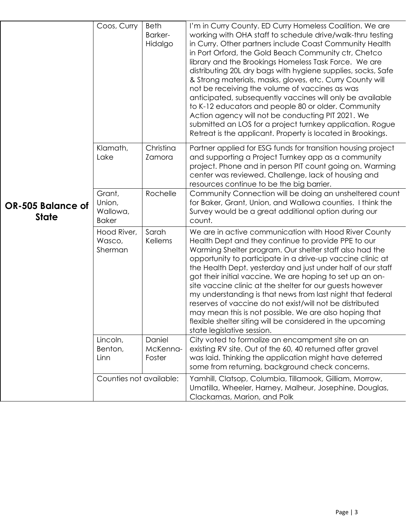| <b>OR-505 Balance of</b><br><b>State</b> | Coos, Curry                                  | <b>Beth</b><br>Barker-<br>Hidalgo | I'm in Curry County. ED Curry Homeless Coalition. We are<br>working with OHA staff to schedule drive/walk-thru testing<br>in Curry. Other partners include Coast Community Health<br>in Port Orford, the Gold Beach Community ctr, Chetco<br>library and the Brookings Homeless Task Force. We are<br>distributing 20L dry bags with hygiene supplies, socks, Safe<br>& Strong materials, masks, gloves, etc. Curry County will<br>not be receiving the volume of vaccines as was<br>anticipated, subsequently vaccines will only be available<br>to K-12 educators and people 80 or older. Community<br>Action agency will not be conducting PIT 2021. We<br>submitted an LOS for a project turnkey application. Rogue<br>Retreat is the applicant. Property is located in Brookings. |
|------------------------------------------|----------------------------------------------|-----------------------------------|----------------------------------------------------------------------------------------------------------------------------------------------------------------------------------------------------------------------------------------------------------------------------------------------------------------------------------------------------------------------------------------------------------------------------------------------------------------------------------------------------------------------------------------------------------------------------------------------------------------------------------------------------------------------------------------------------------------------------------------------------------------------------------------|
|                                          | Klamath,<br>Lake                             | Christina<br>Zamora               | Partner applied for ESG funds for transition housing project<br>and supporting a Project Turnkey app as a community<br>project. Phone and in person PIT count going on. Warming<br>center was reviewed. Challenge, lack of housing and<br>resources continue to be the big barrier.                                                                                                                                                                                                                                                                                                                                                                                                                                                                                                    |
|                                          | Grant,<br>Union,<br>Wallowa,<br><b>Baker</b> | Rochelle                          | Community Connection will be doing an unsheltered count<br>for Baker, Grant, Union, and Wallowa counties. I think the<br>Survey would be a great additional option during our<br>count.                                                                                                                                                                                                                                                                                                                                                                                                                                                                                                                                                                                                |
|                                          | Hood River,<br>Wasco,<br>Sherman             | Sarah<br><b>Kellems</b>           | We are in active communication with Hood River County<br>Health Dept and they continue to provide PPE to our<br>Warming Shelter program. Our shelter staff also had the<br>opportunity to participate in a drive-up vaccine clinic at<br>the Health Dept. yesterday and just under half of our staff<br>got their initial vaccine. We are hoping to set up an on-<br>site vaccine clinic at the shelter for our guests however<br>my understanding is that news from last night that federal<br>reserves of vaccine do not exist/will not be distributed<br>may mean this is not possible. We are also hoping that<br>flexible shelter siting will be considered in the upcoming<br>state legislative session.                                                                         |
|                                          | Lincoln,<br>Benton,<br>Linn                  | Daniel<br>McKenna-<br>Foster      | City voted to formalize an encampment site on an<br>existing RV site. Out of the 60, 40 returned after gravel<br>was laid. Thinking the application might have deterred<br>some from returning, background check concerns.                                                                                                                                                                                                                                                                                                                                                                                                                                                                                                                                                             |
|                                          | Counties not available:                      |                                   | Yamhill, Clatsop, Columbia, Tillamook, Gilliam, Morrow,<br>Umatilla, Wheeler, Harney, Malheur, Josephine, Douglas,<br>Clackamas, Marion, and Polk                                                                                                                                                                                                                                                                                                                                                                                                                                                                                                                                                                                                                                      |